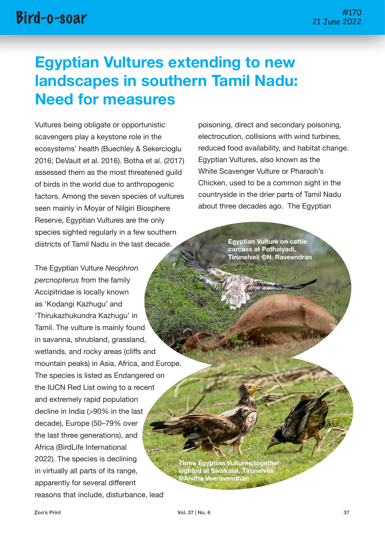# **Egyptian Vultures extending to new landscapes in southern Tamil Nadu: Need for measures**

Vultures being obligate or opportunistic scavengers play a keystone role in the ecosystems' health (Buechley & Sekercioglu 2016; DeVault et al. 2016). Botha et al. (2017) assessed them as the most threatened guild of birds in the world due to anthropogenic factors. Among the seven species of vultures seen mainly in Moyar of Nilgiri Biosphere Reserve, Egyptian Vultures are the only species sighted regularly in a few southern districts of Tamil Nadu in the last decade.

The Egyptian Vulture *Neophron percnopterus* from the family Accipitridae is locally known as 'Kodangi Kazhugu' and 'Thirukazhukundra Kazhugu' in Tamil. The vulture is mainly found in savanna, shrubland, grassland, wetlands, and rocky areas (cliffs and mountain peaks) in Asia, Africa, and Europe. The species is listed as Endangered on the IUCN Red List owing to a recent and extremely rapid population decline in India (>90% in the last decade), Europe (50–79% over the last three generations), and Africa (BirdLife International 2022). The species is declining in virtually all parts of its range, apparently for several different reasons that include, disturbance, lead

poisoning, direct and secondary poisoning, electrocution, collisions with wind turbines, reduced food availability, and habitat change. Egyptian Vultures, also known as the White Scavenger Vulture or Pharaoh's Chicken, used to be a common sight in the countryside in the drier parts of Tamil Nadu about three decades ago. The Egyptian

> **Egyptian Vulture on cattle carcass at Pothaiyadi, Tirunelveli ©N. Raveendran**

**Three Egyptian Vultures together sighted at Sivakalai, Tirunelveli ©Anitha Veeravendhan**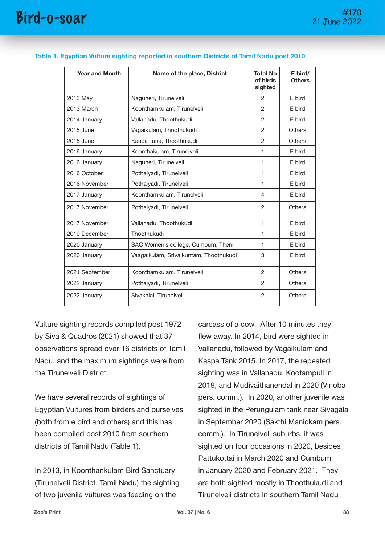| <b>Year and Month</b> | Name of the place, District            | <b>Total No</b><br>of birds<br>sighted | E bird/<br><b>Others</b> |
|-----------------------|----------------------------------------|----------------------------------------|--------------------------|
| 2013 May              | Naguneri, Tirunelveli                  | $\overline{2}$                         | E bird                   |
| 2013 March            | Koonthamkulam, Tirunelveli             | 2                                      | E bird                   |
| 2014 January          | Vallanadu, Thoothukudi                 | 2                                      | E bird                   |
| 2015 June             | Vagaikulam, Thoothukudi                | $\overline{2}$                         | <b>Others</b>            |
| 2015 June             | Kaspa Tank, Thoothukudi                | $\overline{2}$                         | <b>Others</b>            |
| 2016 January          | Koonthakulam, Tirunelveli              | 1                                      | E bird                   |
| 2016 January          | Naguneri, Tirunelveli                  | 1                                      | E bird                   |
| 2016 October          | Pothaiyadi, Tirunelveli                | 1                                      | E bird                   |
| 2016 November         | Pothaiyadi, Tirunelveli                | 1                                      | E bird                   |
| 2017 January          | Koonthamkulam, Tirunelveli             | $\overline{4}$                         | E bird                   |
| 2017 November         | Pothaiyadi, Tirunelveli                | 2                                      | <b>Others</b>            |
| 2017 November         | Vallanadu, Thoothukudi                 | 1                                      | E bird                   |
| 2019 December         | Thoothukudi                            | 1                                      | E bird                   |
| 2020 January          | SAC Women's college, Cumbum, Theni     | 1                                      | E bird                   |
| 2020 January          | Vaagaikulam, Srivaikuntam, Thoothukudi | 3                                      | E bird                   |
| 2021 September        | Koonthamkulam, Tirunelveli             | 2                                      | <b>Others</b>            |
| 2022 January          | Pothaiyadi, Tirunelveli                | 2                                      | <b>Others</b>            |
| 2022 January          | Sivakalai, Tirunelveli                 | $\overline{2}$                         | Others                   |

#### **Table 1. Egyptian Vulture sighting reported in southern Districts of Tamil Nadu post 2010**

Vulture sighting records compiled post 1972 by Siva & Quadros (2021) showed that 37 observations spread over 16 districts of Tamil Nadu, and the maximum sightings were from the Tirunelveli District.

We have several records of sightings of Egyptian Vultures from birders and ourselves (both from e bird and others) and this has been compiled post 2010 from southern districts of Tamil Nadu (Table 1).

In 2013, in Koonthankulam Bird Sanctuary (Tirunelveli District, Tamil Nadu) the sighting of two juvenile vultures was feeding on the

carcass of a cow. After 10 minutes they flew away. In 2014, bird were sighted in Vallanadu, followed by Vagaikulam and Kaspa Tank 2015. In 2017, the repeated sighting was in Vallanadu, Kootampuli in 2019, and Mudivaithanendal in 2020 (Vinoba pers. comm.). In 2020, another juvenile was sighted in the Perungulam tank near Sivagalai in September 2020 (Sakthi Manickam pers. comm.). In Tirunelveli suburbs, it was sighted on four occasions in 2020, besides Pattukottai in March 2020 and Cumbum in January 2020 and February 2021. They are both sighted mostly in Thoothukudi and Tirunelveli districts in southern Tamil Nadu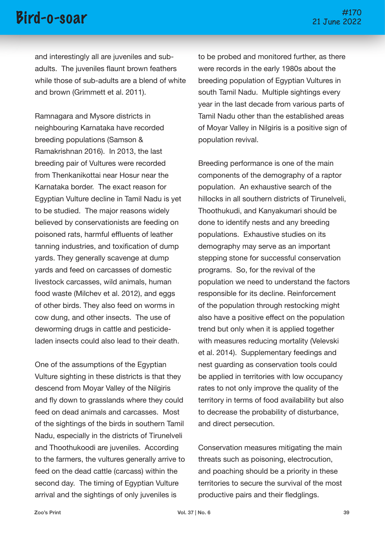### #170 Bird-o-soar 21 June 2022

and interestingly all are juveniles and subadults. The juveniles flaunt brown feathers while those of sub-adults are a blend of white and brown (Grimmett et al. 2011).

Ramnagara and Mysore districts in neighbouring Karnataka have recorded breeding populations (Samson & Ramakrishnan 2016). In 2013, the last breeding pair of Vultures were recorded from Thenkanikottai near Hosur near the Karnataka border. The exact reason for Egyptian Vulture decline in Tamil Nadu is yet to be studied. The major reasons widely believed by conservationists are feeding on poisoned rats, harmful effluents of leather tanning industries, and toxification of dump yards. They generally scavenge at dump yards and feed on carcasses of domestic livestock carcasses, wild animals, human food waste (Milchey et al. 2012), and eggs of other birds. They also feed on worms in cow dung, and other insects. The use of deworming drugs in cattle and pesticideladen insects could also lead to their death.

One of the assumptions of the Egyptian Vulture sighting in these districts is that they descend from Moyar Valley of the Nilgiris and fly down to grasslands where they could feed on dead animals and carcasses. Most of the sightings of the birds in southern Tamil Nadu, especially in the districts of Tirunelveli and Thoothukoodi are juveniles. According to the farmers, the vultures generally arrive to feed on the dead cattle (carcass) within the second day. The timing of Egyptian Vulture arrival and the sightings of only juveniles is

to be probed and monitored further, as there were records in the early 1980s about the breeding population of Egyptian Vultures in south Tamil Nadu. Multiple sightings every year in the last decade from various parts of Tamil Nadu other than the established areas of Moyar Valley in Nilgiris is a positive sign of population revival.

Breeding performance is one of the main components of the demography of a raptor population. An exhaustive search of the hillocks in all southern districts of Tirunelveli, Thoothukudi, and Kanyakumari should be done to identify nests and any breeding populations. Exhaustive studies on its demography may serve as an important stepping stone for successful conservation programs. So, for the revival of the population we need to understand the factors responsible for its decline. Reinforcement of the population through restocking might also have a positive effect on the population trend but only when it is applied together with measures reducing mortality (Velevski et al. 2014). Supplementary feedings and nest guarding as conservation tools could be applied in territories with low occupancy rates to not only improve the quality of the territory in terms of food availability but also to decrease the probability of disturbance, and direct persecution.

Conservation measures mitigating the main threats such as poisoning, electrocution, and poaching should be a priority in these territories to secure the survival of the most productive pairs and their fledglings.